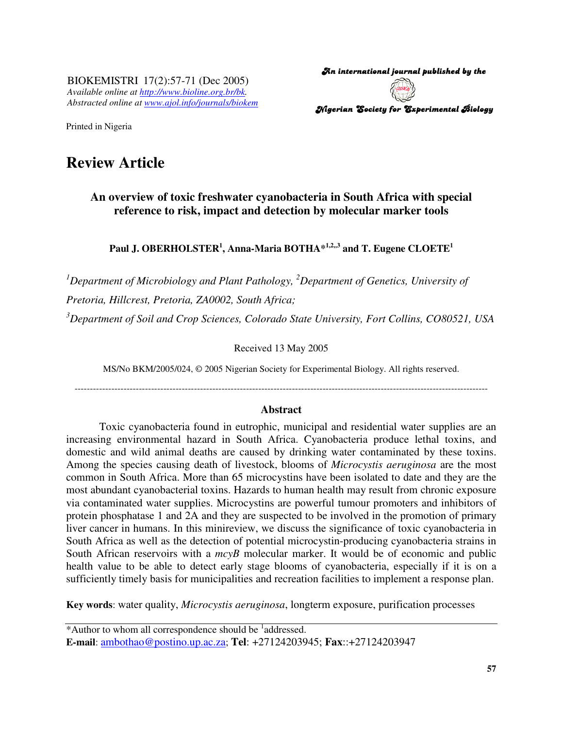BIOKEMISTRI 17(2):57-71 (Dec 2005) *Available online at http://www.bioline.org.br/bk. Abstracted online at www.ajol.info/journals/biokem*

An international journal published by the  $\,$ Nigerian Society for Experimental Biology

Printed in Nigeria

# **Review Article**

**An overview of toxic freshwater cyanobacteria in South Africa with special reference to risk, impact and detection by molecular marker tools**

**Paul J. OBERHOLSTER 1 , Anna-Maria BOTHA\* 1,2,,3 and T. Eugene CLOETE 1**

*<sup>1</sup>Department of Microbiology and Plant Pathology, <sup>2</sup>Department of Genetics, University of Pretoria, Hillcrest, Pretoria, ZA0002, South Africa;*

*<sup>3</sup>Department of Soil and Crop Sciences, Colorado State University, Fort Collins, CO80521, USA*

Received 13 May 2005

MS/No BKM/2005/024, © 2005 Nigerian Society for Experimental Biology. All rights reserved.

---------------------------------------------------------------------------------------------------------------------------------------

#### **Abstract**

Toxic cyanobacteria found in eutrophic, municipal and residential water supplies are an increasing environmental hazard in South Africa. Cyanobacteria produce lethal toxins, and domestic and wild animal deaths are caused by drinking water contaminated by these toxins. Among the species causing death of livestock, blooms of *Microcystis aeruginosa* are the most common in South Africa. More than 65 microcystins have been isolated to date and they are the most abundant cyanobacterial toxins. Hazards to human health may result from chronic exposure via contaminated water supplies. Microcystins are powerful tumour promoters and inhibitors of protein phosphatase 1 and 2A and they are suspected to be involved in the promotion of primary liver cancer in humans. In this minireview, we discuss the significance of toxic cyanobacteria in South Africa as well as the detection of potential microcystin-producing cyanobacteria strains in South African reservoirs with a  $mcvB$  molecular marker. It would be of economic and public health value to be able to detect early stage blooms of cyanobacteria, especially if it is on a sufficiently timely basis for municipalities and recreation facilities to implement a response plan.

**Key words**: water quality, *Microcystis aeruginosa*, longterm exposure, purification processes

<sup>\*</sup>Author to whom all correspondence should be <sup>1</sup>addressed. **E-mail**: ambothao@postino.up.ac.za; **Tel**: +27124203945; **Fax**::+27124203947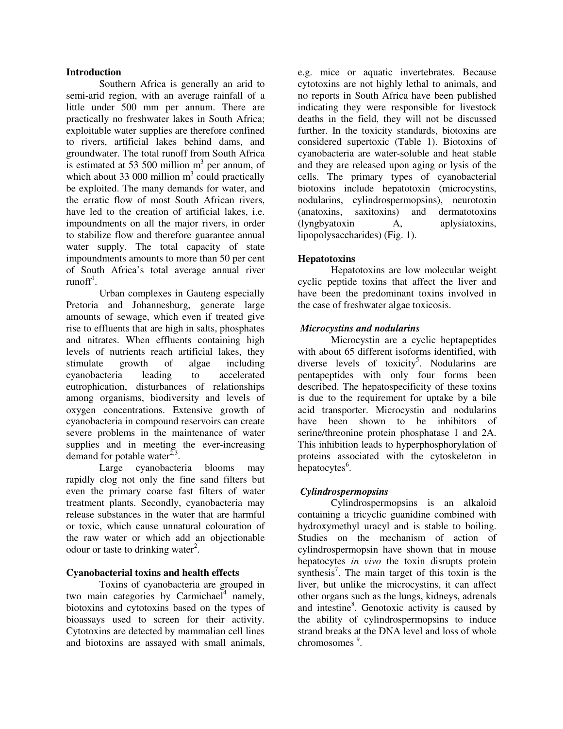### **Introduction**

Southern Africa is generally an arid to semi-arid region, with an average rainfall of a little under 500 mm per annum. There are practically no freshwater lakes in South Africa; exploitable water supplies are therefore confined to rivers, artificial lakes behind dams, and groundwater. The total runoff from South Africa is estimated at 53 500 million  $m<sup>3</sup>$  per annum, of which about 33 000 million  $m<sup>3</sup>$  could practically be exploited. The many demands for water, and the erratic flow of most South African rivers, have led to the creation of artificial lakes, i.e. impoundments on all the major rivers, in order to stabilize flow and therefore guarantee annual water supply. The total capacity of state impoundments amounts to more than 50 per cent of South Africa's total average annual river runoff<sup>1</sup>.

Urban complexes in Gauteng especially Pretoria and Johannesburg, generate large amounts of sewage, which even if treated give rise to effluents that are high in salts, phosphates and nitrates. When effluents containing high levels of nutrients reach artificial lakes, they stimulate growth of algae including cyanobacteria leading to accelerated eutrophication, disturbances of relationships among organisms, biodiversity and levels of oxygen concentrations. Extensive growth of cyanobacteria in compound reservoirs can create severe problems in the maintenance of water supplies and in meeting the ever-increasing demand for potable water $^{2,3}$ .

Large cyanobacteria blooms may rapidly clog not only the fine sand filters but even the primary coarse fast filters of water treatment plants. Secondly, cyanobacteria may release substances in the water that are harmful or toxic, which cause unnatural colouration of the raw water or which add an objectionable odour or taste to drinking water<sup>2</sup>.

## **Cyanobacterial toxins and health effects**

Toxins of cyanobacteria are grouped in two main categories by Carmichael<sup>4</sup> namely, biotoxins and cytotoxins based on the types of bioassays used to screen for their activity. Cytotoxins are detected by mammalian cell lines and biotoxins are assayed with small animals,

e.g. mice or aquatic invertebrates. Because cytotoxins are not highly lethal to animals, and no reports in South Africa have been published indicating they were responsible for livestock deaths in the field, they will not be discussed further. In the toxicity standards, biotoxins are considered supertoxic (Table 1). Biotoxins of cyanobacteria are water-soluble and heat stable and they are released upon aging or lysis of the cells. The primary types of cyanobacterial biotoxins include hepatotoxin (microcystins, nodularins, cylindrospermopsins), neurotoxin (anatoxins, saxitoxins) and dermatotoxins (lyngbyatoxin A, aplysiatoxins, lipopolysaccharides) (Fig. 1).

# **Hepatotoxins**

Hepatotoxins are low molecular weight cyclic peptide toxins that affect the liver and have been the predominant toxins involved in the case of freshwater algae toxicosis.

## *Microcystins and nodularins*

Microcystin are a cyclic heptapeptides with about 65 different isoforms identified, with diverse levels of toxicity<sup>5</sup>. Nodularins are pentapeptides with only four forms been described. The hepatospecificity of these toxins is due to the requirement for uptake by a bile acid transporter. Microcystin and nodularins have been shown to be inhibitors of serine/threonine protein phosphatase 1 and 2A. This inhibition leads to hyperphosphorylation of proteins associated with the cytoskeleton in hepatocytes<sup>6</sup>.

## *Cylindrospermopsins*

Cylindrospermopsins is an alkaloid containing a tricyclic guanidine combined with hydroxymethyl uracyl and is stable to boiling. Studies on the mechanism of action of cylindrospermopsin have shown that in mouse hepatocytes *in vivo* the toxin disrupts protein synthesis<sup>7</sup>. The main target of this toxin is the liver, but unlike the microcystins, it can affect other organs such as the lungs, kidneys, adrenals and intestine<sup>8</sup>. Genotoxic activity is caused by the ability of cylindrospermopsins to induce strand breaks at the DNA level and loss of whole chromosomes 9 .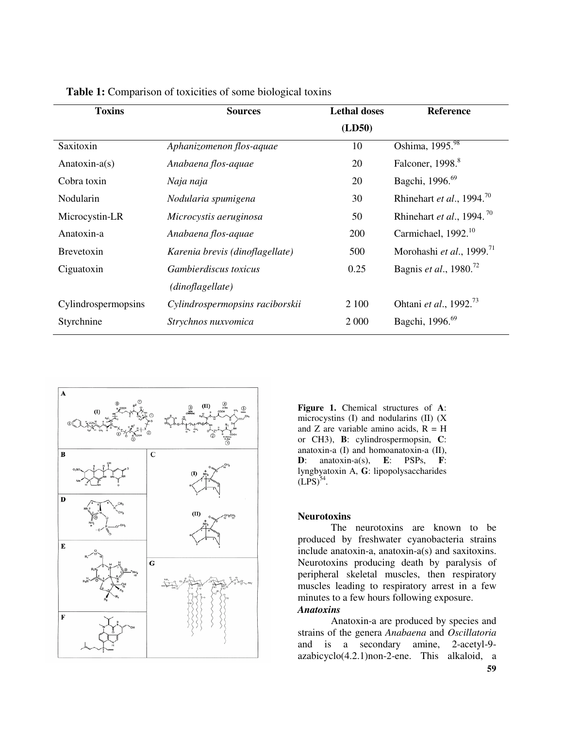| <b>Toxins</b>       | <b>Sources</b>                  | <b>Lethal doses</b> | <b>Reference</b>                      |
|---------------------|---------------------------------|---------------------|---------------------------------------|
|                     |                                 | (LD50)              |                                       |
| Saxitoxin           | Aphanizomenon flos-aquae        | 10                  | Oshima, 1995.98                       |
| Anatoxin- $a(s)$    | Anabaena flos-aquae             | 20                  | Falconer, 1998. <sup>8</sup>          |
| Cobra toxin         | Naja naja                       | 20                  | Bagchi, 1996. <sup>69</sup>           |
| Nodularin           | Nodularia spumigena             | 30                  | Rhinehart et al., 1994. <sup>70</sup> |
| Microcystin-LR      | Microcystis aeruginosa          | 50                  | Rhinehart et al., 1994. <sup>70</sup> |
| Anatoxin-a          | Anabaena flos-aquae             | 200                 | Carmichael, 1992. <sup>10</sup>       |
| <b>Brevetoxin</b>   | Karenia brevis (dinoflagellate) | 500                 | Morohashi et al., 1999. $^{71}$       |
| Ciguatoxin          | <i>Gambierdiscus toxicus</i>    | 0.25                | Bagnis et al., 1980. <sup>72</sup>    |
|                     | (dinoflagellate)                |                     |                                       |
| Cylindrospermopsins | Cylindrospermopsins raciborskii | 2 100               | Ohtani et al., 1992. <sup>73</sup>    |
| Styrchnine          | Strychnos nuxvomica             | 2 0 0 0             | Bagchi, 1996. <sup>69</sup>           |

**Table 1:** Comparison of toxicities of some biological toxins



**Figure 1.** Chemical structures of **A**: microcystins (I) and nodularins (II) (X and Z are variable amino acids,  $R = H$ or CH3), **B**: cylindrospermopsin, **C**: anatoxin-a (I) and homoanatoxin-a (II), **D**: anatoxin-a(s), **E**: PSPs, **F**: lyngbyatoxin A, **G**: lipopolysaccharides  $(LPS)^{54}$ .

#### **Neurotoxins**

The neurotoxins are known to be produced by freshwater cyanobacteria strains include anatoxin-a, anatoxin-a(s) and saxitoxins. Neurotoxins producing death by paralysis of peripheral skeletal muscles, then respiratory muscles leading to respiratory arrest in a few minutes to a few hours following exposure. *Anatoxins*

Anatoxin-a are produced by species and strains of the genera *Anabaena* and *Oscillatoria* and is a secondary amine, 2-acetyl-9 azabicyclo(4.2.1)non-2-ene. This alkaloid, a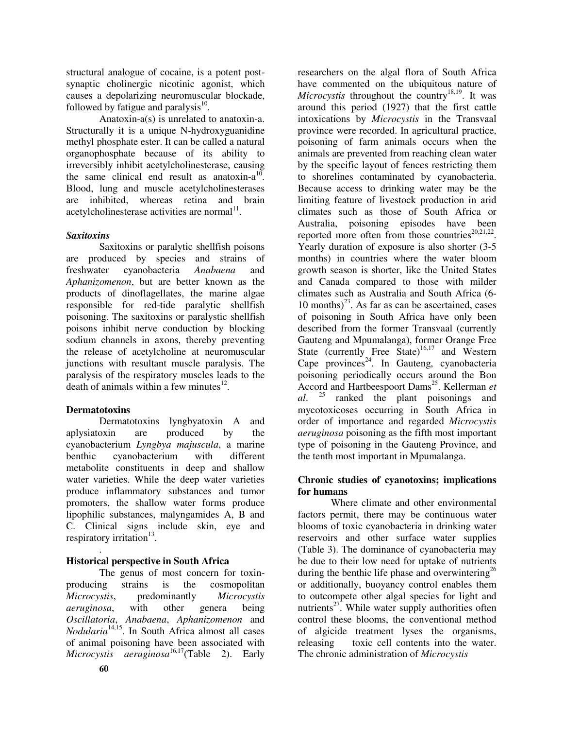structural analogue of cocaine, is a potent postsynaptic cholinergic nicotinic agonist, which causes a depolarizing neuromuscular blockade, followed by fatigue and paralysis<sup>10</sup>.

Anatoxin-a(s) is unrelated to anatoxin-a. Structurally it is a unique N-hydroxyguanidine methyl phosphate ester. It can be called a natural organophosphate because of its ability to irreversibly inhibit acetylcholinesterase, causing the same clinical end result as anatoxin- $a^{10}$ . Blood, lung and muscle acetylcholinesterases are inhibited, whereas retina and brain acetylcholinesterase activities are normal<sup>11</sup>.

# *Saxitoxins*

Saxitoxins or paralytic shellfish poisons are produced by species and strains of freshwater cyanobacteria *Anabaena* and *Aphanizomenon*, but are better known as the products of dinoflagellates, the marine algae responsible for red-tide paralytic shellfish poisoning. The saxitoxins or paralystic shellfish poisons inhibit nerve conduction by blocking sodium channels in axons, thereby preventing the release of acetylcholine at neuromuscular junctions with resultant muscle paralysis. The paralysis of the respiratory muscles leads to the death of animals within a few minutes<sup>12</sup>.

# **Dermatotoxins**

Dermatotoxins lyngbyatoxin A and aplysiatoxin are produced by the cyanobacterium *Lyngbya majuscula*, a marine benthic cyanobacterium with different metabolite constituents in deep and shallow water varieties. While the deep water varieties produce inflammatory substances and tumor promoters, the shallow water forms produce lipophilic substances, malyngamides A, B and C. Clinical signs include skin, eye and respiratory irritation<sup>13</sup>.

#### . **Historical perspective in South Africa**

The genus of most concern for toxinproducing strains is the cosmopolitan *Microcystis*, predominantly *Microcystis aeruginosa*, with other genera being *Oscillatoria*, *Anabaena*, *Aphanizomenon* and *Nodularia* 14,15 . In South Africa almost all cases of animal poisoning have been associated with *Microcystis aeruginosa* 16,17 (Table 2). Early

researchers on the algal flora of South Africa have commented on the ubiquitous nature of Microcystis throughout the country<sup>18,19</sup>. It was around this period (1927) that the first cattle intoxications by *Microcystis* in the Transvaal province were recorded. In agricultural practice, poisoning of farm animals occurs when the animals are prevented from reaching clean water by the specific layout of fences restricting them to shorelines contaminated by cyanobacteria. Because access to drinking water may be the limiting feature of livestock production in arid climates such as those of South Africa or Australia, poisoning episodes have been reported more often from those countries $^{20,21,22}$ . Yearly duration of exposure is also shorter (3-5 months) in countries where the water bloom growth season is shorter, like the United States and Canada compared to those with milder climates such as Australia and South Africa (6- 10 months) $^{23}$ . As far as can be ascertained, cases of poisoning in South Africa have only been described from the former Transvaal (currently Gauteng and Mpumalanga), former Orange Free State (currently Free State)<sup>16,17</sup> and Western Cape provinces<sup>24</sup>. In Gauteng, cyanobacteria poisoning periodically occurs around the Bon Accord and Hartbeespoort Dams 25 . Kellerman *et al*. 25 ranked the plant poisonings and mycotoxicoses occurring in South Africa in order of importance and regarded *Microcystis aeruginosa* poisoning as the fifth most important type of poisoning in the Gauteng Province, and the tenth most important in Mpumalanga.

# **Chronic studies of cyanotoxins; implications for humans**

Where climate and other environmental factors permit, there may be continuous water blooms of toxic cyanobacteria in drinking water reservoirs and other surface water supplies (Table 3). The dominance of cyanobacteria may be due to their low need for uptake of nutrients during the benthic life phase and overwintering<sup>26</sup> or additionally, buoyancy control enables them to outcompete other algal species for light and nutrients<sup>27</sup>. While water supply authorities often control these blooms, the conventional method of algicide treatment lyses the organisms, releasing toxic cell contents into the water. The chronic administration of *Microcystis*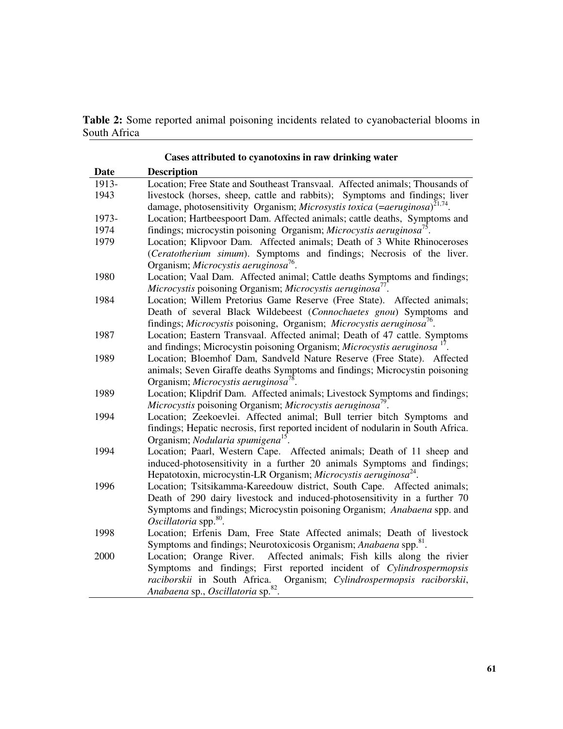**Table 2:** Some reported animal poisoning incidents related to cyanobacterial blooms in South Africa

|       | Cases attributed to cyanoloxius in faw urinking water                                  |
|-------|----------------------------------------------------------------------------------------|
| Date  | <b>Description</b>                                                                     |
| 1913- | Location; Free State and Southeast Transvaal. Affected animals; Thousands of           |
| 1943  | livestock (horses, sheep, cattle and rabbits); Symptoms and findings; liver            |
|       | damage, photosensitivity Organism; Microsystis toxica (=aeruginosa) <sup>21,74</sup> . |
| 1973- | Location; Hartbeespoort Dam. Affected animals; cattle deaths, Symptoms and             |
| 1974  | findings; microcystin poisoning Organism; Microcystis aeruginosa <sup>15</sup> .       |
| 1979  | Location; Klipvoor Dam. Affected animals; Death of 3 White Rhinoceroses                |
|       | (Ceratotherium simum). Symptoms and findings; Necrosis of the liver.                   |
|       | Organism; Microcystis aeruginosa <sup>76</sup> .                                       |
| 1980  | Location; Vaal Dam. Affected animal; Cattle deaths Symptoms and findings;              |
|       | Microcystis poisoning Organism; Microcystis aeruginosa <sup>77</sup> .                 |
| 1984  | Location; Willem Pretorius Game Reserve (Free State). Affected animals;                |
|       | Death of several Black Wildebeest (Connochaetes gnou) Symptoms and                     |
|       | findings; Microcystis poisoning, Organism; Microcystis aeruginosa <sup>76</sup> .      |
| 1987  | Location; Eastern Transvaal. Affected animal; Death of 47 cattle. Symptoms             |
|       | and findings; Microcystin poisoning Organism; Microcystis aeruginosa <sup>17</sup>     |
| 1989  | Location; Bloemhof Dam, Sandveld Nature Reserve (Free State). Affected                 |
|       | animals; Seven Giraffe deaths Symptoms and findings; Microcystin poisoning             |
|       | Organism; Microcystis aeruginosa <sup>78</sup> .                                       |
| 1989  | Location; Klipdrif Dam. Affected animals; Livestock Symptoms and findings;             |
|       | Microcystis poisoning Organism; Microcystis aeruginosa <sup>79</sup> .                 |
| 1994  | Location; Zeekoevlei. Affected animal; Bull terrier bitch Symptoms and                 |
|       | findings; Hepatic necrosis, first reported incident of nodularin in South Africa.      |
|       | Organism; Nodularia spumigena <sup>15</sup> .                                          |
| 1994  | Location; Paarl, Western Cape. Affected animals; Death of 11 sheep and                 |
|       | induced-photosensitivity in a further 20 animals Symptoms and findings;                |
|       | Hepatotoxin, microcystin-LR Organism; Microcystis aeruginosa <sup>24</sup> .           |
| 1996  | Location; Tsitsikamma-Kareedouw district, South Cape. Affected animals;                |
|       | Death of 290 dairy livestock and induced-photosensitivity in a further 70              |
|       | Symptoms and findings; Microcystin poisoning Organism; Anabaena spp. and               |
|       | Oscillatoria spp. <sup>80</sup> .                                                      |
| 1998  | Location; Erfenis Dam, Free State Affected animals; Death of livestock                 |
|       | Symptoms and findings; Neurotoxicosis Organism; Anabaena spp. <sup>81</sup> .          |
| 2000  | Location; Orange River.<br>Affected animals; Fish kills along the rivier               |
|       | Symptoms and findings; First reported incident of Cylindrospermopsis                   |
|       | raciborskii in South Africa.<br>Organism; Cylindrospermopsis raciborskii,              |
|       | Anabaena sp., Oscillatoria sp. <sup>82</sup> .                                         |

**Cases attributed to cyanotoxins in raw drinking water**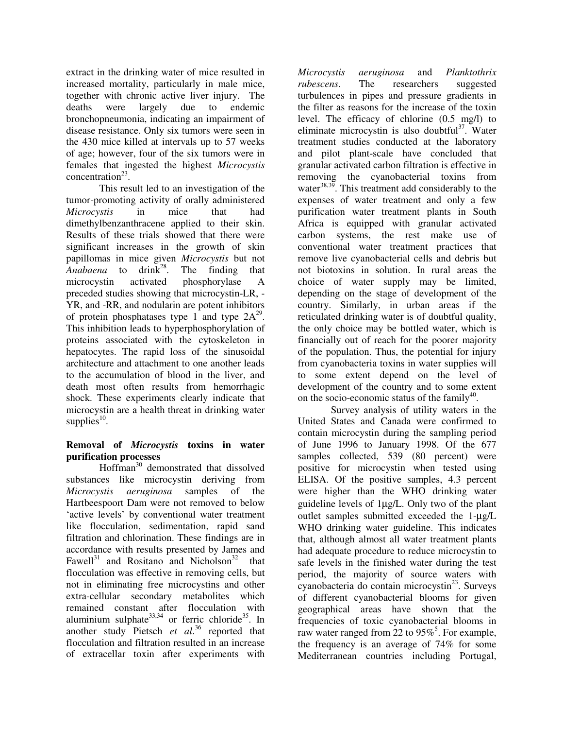extract in the drinking water of mice resulted in increased mortality, particularly in male mice, together with chronic active liver injury. The deaths were largely due to endemic bronchopneumonia, indicating an impairment of disease resistance. Only six tumors were seen in the 430 mice killed at intervals up to 57 weeks of age; however, four of the six tumors were in females that ingested the highest *Microcystis* concentration 23 .

This result led to an investigation of the tumor-promoting activity of orally administered *Microcystis* in mice that had dimethylbenzanthracene applied to their skin. Results of these trials showed that there were significant increases in the growth of skin papillomas in mice given *Microcystis* but not *Anabaena* to drink 28 . The finding that microcystin activated phosphorylase A preceded studies showing that microcystin-LR, - YR, and -RR, and nodularin are potent inhibitors of protein phosphatases type 1 and type  $2A^{29}$ . This inhibition leads to hyperphosphorylation of proteins associated with the cytoskeleton in hepatocytes. The rapid loss of the sinusoidal architecture and attachment to one another leads to the accumulation of blood in the liver, and death most often results from hemorrhagic shock. These experiments clearly indicate that microcystin are a health threat in drinking water supplies $^{10}$ .

# **Removal of** *Microcystis* **toxins in water purification processes**

Hoffman 30 demonstrated that dissolved substances like microcystin deriving from *Microcystis aeruginosa* samples of the Hartbeespoort Dam were not removed to below 'active levels' by conventional water treatment like flocculation, sedimentation, rapid sand filtration and chlorination. These findings are in accordance with results presented by James and Fawell<sup>31</sup> and Rositano and Nicholson<sup>32</sup> that flocculation was effective in removing cells, but not in eliminating free microcystins and other extra-cellular secondary metabolites which remained constant after flocculation with aluminium sulphate<sup>33,34</sup> or ferric chloride<sup>35</sup>. In another study Pietsch *et al*. 36 reported that flocculation and filtration resulted in an increase of extracellar toxin after experiments with

*Microcystis aeruginosa* and *Planktothrix rubescens*. The researchers suggested turbulences in pipes and pressure gradients in the filter as reasons for the increase of the toxin level. The efficacy of chlorine (0.5 mg/l) to eliminate microcystin is also doubtful<sup>37</sup>. Water treatment studies conducted at the laboratory and pilot plant-scale have concluded that granular activated carbon filtration is effective in removing the cyanobacterial toxins from water<sup>38,39</sup>. This treatment add considerably to the expenses of water treatment and only a few purification water treatment plants in South Africa is equipped with granular activated carbon systems, the rest make use of conventional water treatment practices that remove live cyanobacterial cells and debris but not biotoxins in solution. In rural areas the choice of water supply may be limited, depending on the stage of development of the country. Similarly, in urban areas if the reticulated drinking water is of doubtful quality, the only choice may be bottled water, which is financially out of reach for the poorer majority of the population. Thus, the potential for injury from cyanobacteria toxins in water supplies will to some extent depend on the level of development of the country and to some extent on the socio-economic status of the family<sup>40</sup>.

Survey analysis of utility waters in the United States and Canada were confirmed to contain microcystin during the sampling period of June 1996 to January 1998. Of the 677 samples collected, 539 (80 percent) were positive for microcystin when tested using ELISA. Of the positive samples, 4.3 percent were higher than the WHO drinking water guideline levels of 1µg/L. Only two of the plant outlet samples submitted exceeded the 1-µg/L WHO drinking water guideline. This indicates that, although almost all water treatment plants had adequate procedure to reduce microcystin to safe levels in the finished water during the test period, the majority of source waters with cyanobacteria do contain microcystin<sup>23</sup>. Surveys of different cyanobacterial blooms for given geographical areas have shown that the frequencies of toxic cyanobacterial blooms in raw water ranged from 22 to 95%<sup>5</sup>. For example, the frequency is an average of 74% for some Mediterranean countries including Portugal,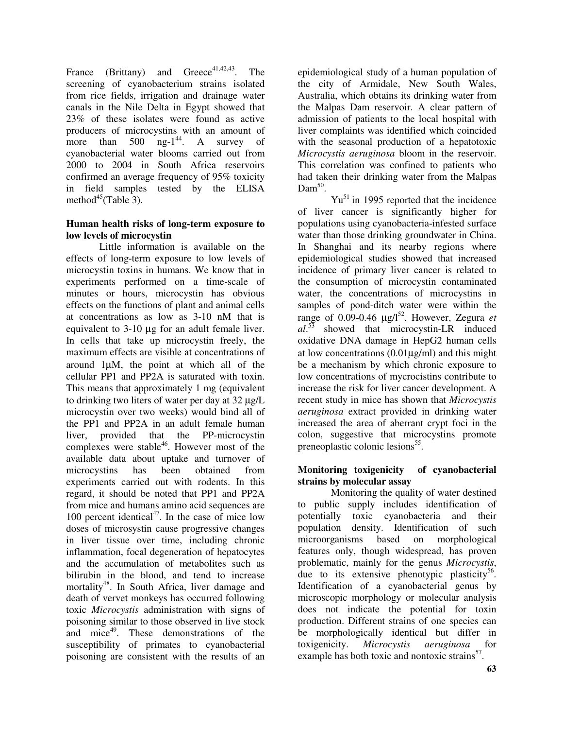France (Brittany) and Greece<sup>41,42,43</sup>. The screening of cyanobacterium strains isolated from rice fields, irrigation and drainage water canals in the Nile Delta in Egypt showed that 23% of these isolates were found as active producers of microcystins with an amount of more than <sup>44</sup>. A survey of cyanobacterial water blooms carried out from 2000 to 2004 in South Africa reservoirs confirmed an average frequency of 95% toxicity in field samples tested by the ELISA method<sup>45</sup>(Table  $\overline{3}$ ).

## **Human health risks of long-term exposure to low levels of microcystin**

Little information is available on the effects of long-term exposure to low levels of microcystin toxins in humans. We know that in experiments performed on a time-scale of minutes or hours, microcystin has obvious effects on the functions of plant and animal cells at concentrations as low as 3-10 nM that is equivalent to 3-10 µg for an adult female liver. In cells that take up microcystin freely, the maximum effects are visible at concentrations of around 1µM, the point at which all of the cellular PP1 and PP2A is saturated with toxin. This means that approximately 1 mg (equivalent to drinking two liters of water per day at 32 µg/L microcystin over two weeks) would bind all of the PP1 and PP2A in an adult female human liver, provided that the PP-microcystin complexes were stable<sup>46</sup>. However most of the available data about uptake and turnover of microcystins has been obtained from experiments carried out with rodents. In this regard, it should be noted that PP1 and PP2A from mice and humans amino acid sequences are 100 percent identical 47 . In the case of mice low doses of microsystin cause progressive changes in liver tissue over time, including chronic inflammation, focal degeneration of hepatocytes and the accumulation of metabolites such as bilirubin in the blood, and tend to increase mortality 48 . In South Africa, liver damage and death of vervet monkeys has occurred following toxic *Microcystis* administration with signs of poisoning similar to those observed in live stock and mice<sup>49</sup>. These demonstrations of the susceptibility of primates to cyanobacterial poisoning are consistent with the results of an

epidemiological study of a human population of the city of Armidale, New South Wales, Australia, which obtains its drinking water from the Malpas Dam reservoir. A clear pattern of admission of patients to the local hospital with liver complaints was identified which coincided with the seasonal production of a hepatotoxic *Microcystis aeruginosa* bloom in the reservoir. This correlation was confined to patients who had taken their drinking water from the Malpas Dam<sup>50</sup>.

Yu<sup>51</sup> in 1995 reported that the incidence of liver cancer is significantly higher for populations using cyanobacteria-infested surface water than those drinking groundwater in China. In Shanghai and its nearby regions where epidemiological studies showed that increased incidence of primary liver cancer is related to the consumption of microcystin contaminated water, the concentrations of microcystins in samples of pond-ditch water were within the range of 0.09-0.46 µg/l 52 . However, Zegura *et al*. 53 showed that microcystin-LR induced oxidative DNA damage in HepG2 human cells at low concentrations  $(0.01\mu g/ml)$  and this might be a mechanism by which chronic exposure to low concentrations of mycrocistins contribute to increase the risk for liver cancer development. A recent study in mice has shown that *Microcystis aeruginosa* extract provided in drinking water increased the area of aberrant crypt foci in the colon, suggestive that microcystins promote preneoplastic colonic lesions<sup>55</sup>.

# **Monitoring toxigenicity of cyanobacterial strains by molecular assay**

Monitoring the quality of water destined to public supply includes identification of potentially toxic cyanobacteria and their population density. Identification of such microorganisms based on morphological features only, though widespread, has proven problematic, mainly for the genus *Microcystis*, due to its extensive phenotypic plasticity<sup>56</sup>. Identification of a cyanobacterial genus by microscopic morphology or molecular analysis does not indicate the potential for toxin production. Different strains of one species can be morphologically identical but differ in toxigenicity. *Microcystis aeruginosa* for example has both toxic and nontoxic strains<sup>57</sup>.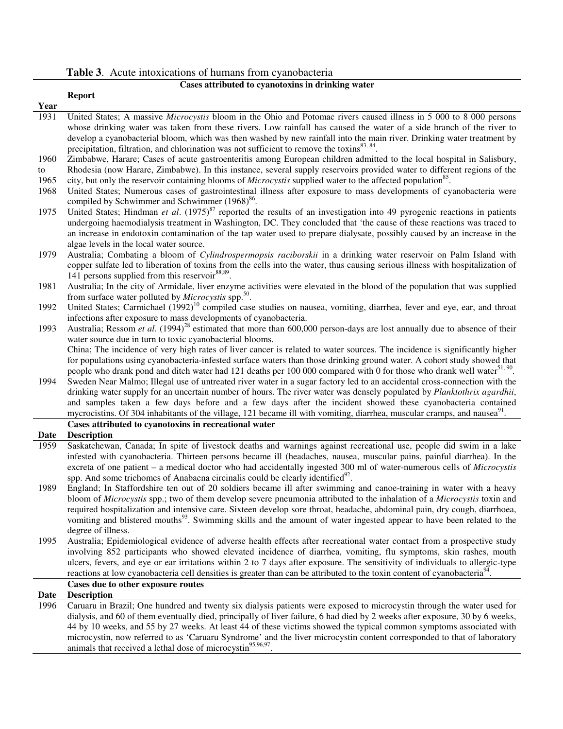**Table 3**. Acute intoxications of humans from cyanobacteria

# **Cases attributed to cyanotoxins in drinking water**

|      | <b>Report</b>                                                                                                                                                                                                                                                                                                                                                                                                                                                                   |
|------|---------------------------------------------------------------------------------------------------------------------------------------------------------------------------------------------------------------------------------------------------------------------------------------------------------------------------------------------------------------------------------------------------------------------------------------------------------------------------------|
| Year |                                                                                                                                                                                                                                                                                                                                                                                                                                                                                 |
| 1931 | United States; A massive Microcystis bloom in the Ohio and Potomac rivers caused illness in 5 000 to 8 000 persons<br>whose drinking water was taken from these rivers. Low rainfall has caused the water of a side branch of the river to<br>develop a cyanobacterial bloom, which was then washed by new rainfall into the main river. Drinking water treatment by<br>precipitation, filtration, and chlorination was not sufficient to remove the toxins <sup>83, 84</sup> . |
| 1960 | Zimbabwe, Harare; Cases of acute gastroenteritis among European children admitted to the local hospital in Salisbury,                                                                                                                                                                                                                                                                                                                                                           |
| to   | Rhodesia (now Harare, Zimbabwe). In this instance, several supply reservoirs provided water to different regions of the                                                                                                                                                                                                                                                                                                                                                         |
| 1965 | city, but only the reservoir containing blooms of <i>Microcystis</i> supplied water to the affected population <sup>85</sup> .                                                                                                                                                                                                                                                                                                                                                  |
| 1968 | United States; Numerous cases of gastrointestinal illness after exposure to mass developments of cyanobacteria were<br>compiled by Schwimmer and Schwimmer (1968) <sup>86</sup> .                                                                                                                                                                                                                                                                                               |
| 1975 | United States; Hindman et al. $(1975)^{87}$ reported the results of an investigation into 49 pyrogenic reactions in patients<br>undergoing haemodialysis treatment in Washington, DC. They concluded that 'the cause of these reactions was traced to<br>an increase in endotoxin contamination of the tap water used to prepare dialysate, possibly caused by an increase in the<br>algae levels in the local water source.                                                    |
| 1979 | Australia; Combating a bloom of Cylindrospermopsis raciborskii in a drinking water reservoir on Palm Island with<br>copper sulfate led to liberation of toxins from the cells into the water, thus causing serious illness with hospitalization of<br>141 persons supplied from this reservoir <sup>88,89</sup> .                                                                                                                                                               |
| 1981 | Australia; In the city of Armidale, liver enzyme activities were elevated in the blood of the population that was supplied<br>from surface water polluted by <i>Microcystis</i> spp. <sup>50</sup> .                                                                                                                                                                                                                                                                            |
| 1992 | United States; Carmichael (1992) <sup>10</sup> compiled case studies on nausea, vomiting, diarrhea, fever and eye, ear, and throat<br>infections after exposure to mass developments of cyanobacteria.                                                                                                                                                                                                                                                                          |
| 1993 | Australia; Ressom et al. $(1994)^{28}$ estimated that more than 600,000 person-days are lost annually due to absence of their                                                                                                                                                                                                                                                                                                                                                   |
|      | water source due in turn to toxic cyanobacterial blooms.                                                                                                                                                                                                                                                                                                                                                                                                                        |
|      | China; The incidence of very high rates of liver cancer is related to water sources. The incidence is significantly higher                                                                                                                                                                                                                                                                                                                                                      |
|      | for populations using cyanobacteria-infested surface waters than those drinking ground water. A cohort study showed that                                                                                                                                                                                                                                                                                                                                                        |
|      | people who drank pond and ditch water had 121 deaths per 100 000 compared with 0 for those who drank well water <sup>51, 90</sup> .                                                                                                                                                                                                                                                                                                                                             |
| 1994 | Sweden Near Malmo; Illegal use of untreated river water in a sugar factory led to an accidental cross-connection with the                                                                                                                                                                                                                                                                                                                                                       |
|      | drinking water supply for an uncertain number of hours. The river water was densely populated by Planktothrix agardhii,                                                                                                                                                                                                                                                                                                                                                         |
|      | and samples taken a few days before and a few days after the incident showed these cyanobacteria contained                                                                                                                                                                                                                                                                                                                                                                      |
|      | mycrocistins. Of 304 inhabitants of the village, 121 became ill with vomiting, diarrhea, muscular cramps, and nausea <sup>91</sup> .                                                                                                                                                                                                                                                                                                                                            |
| Date | Cases attributed to cyanotoxins in recreational water<br><b>Description</b>                                                                                                                                                                                                                                                                                                                                                                                                     |
| 1959 | Saskatchewan, Canada; In spite of livestock deaths and warnings against recreational use, people did swim in a lake                                                                                                                                                                                                                                                                                                                                                             |
|      | infested with cyanobacteria. Thirteen persons became ill (headaches, nausea, muscular pains, painful diarrhea). In the<br>excreta of one patient – a medical doctor who had accidentally ingested 300 ml of water-numerous cells of Microcystis<br>spp. And some trichomes of Anabaena circinalis could be clearly identified <sup>92</sup> .                                                                                                                                   |
| 1989 | England; In Staffordshire ten out of 20 soldiers became ill after swimming and canoe-training in water with a heavy                                                                                                                                                                                                                                                                                                                                                             |
|      | bloom of Microcystis spp.; two of them develop severe pneumonia attributed to the inhalation of a Microcystis toxin and                                                                                                                                                                                                                                                                                                                                                         |
|      | required hospitalization and intensive care. Sixteen develop sore throat, headache, abdominal pain, dry cough, diarrhoea,                                                                                                                                                                                                                                                                                                                                                       |
|      | vomiting and blistered mouths <sup>93</sup> . Swimming skills and the amount of water ingested appear to have been related to the                                                                                                                                                                                                                                                                                                                                               |
|      | degree of illness.                                                                                                                                                                                                                                                                                                                                                                                                                                                              |
| 1995 | Australia; Epidemiological evidence of adverse health effects after recreational water contact from a prospective study                                                                                                                                                                                                                                                                                                                                                         |
|      | involving 852 participants who showed elevated incidence of diarrhea, vomiting, flu symptoms, skin rashes, mouth                                                                                                                                                                                                                                                                                                                                                                |
|      | ulcers, fevers, and eye or ear irritations within 2 to 7 days after exposure. The sensitivity of individuals to allergic-type                                                                                                                                                                                                                                                                                                                                                   |
|      | reactions at low cyanobacteria cell densities is greater than can be attributed to the toxin content of cyanobacteria <sup>94</sup> .                                                                                                                                                                                                                                                                                                                                           |
|      | Cases due to other exposure routes                                                                                                                                                                                                                                                                                                                                                                                                                                              |
| Date | <b>Description</b>                                                                                                                                                                                                                                                                                                                                                                                                                                                              |
| 1996 | Caruaru in Brazil; One hundred and twenty six dialysis patients were exposed to microcystin through the water used for<br>dialysis, and 60 of them eventually died, principally of liver failure, 6 had died by 2 weeks after exposure, 30 by 6 weeks,                                                                                                                                                                                                                          |
|      | 44 by 10 weeks, and 55 by 27 weeks. At least 44 of these victims showed the typical common symptoms associated with                                                                                                                                                                                                                                                                                                                                                             |
|      | microcystin, now referred to as 'Caruaru Syndrome' and the liver microcystin content corresponded to that of laboratory                                                                                                                                                                                                                                                                                                                                                         |
|      | animals that received a lethal dose of microcystin <sup>95,96,97</sup> .                                                                                                                                                                                                                                                                                                                                                                                                        |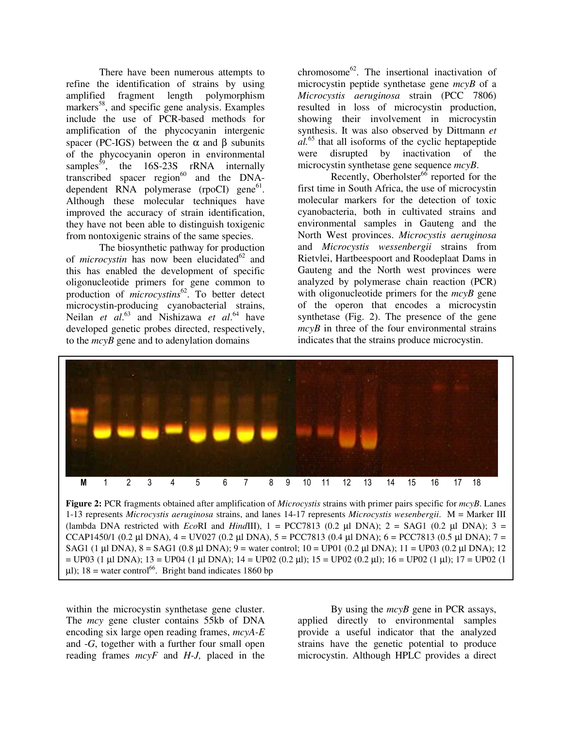There have been numerous attempts to refine the identification of strains by using amplified fragment length polymorphism markers<sup>58</sup>, and specific gene analysis. Examples include the use of PCR-based methods for amplification of the phycocyanin intergenic spacer (PC-IGS) between the  $\alpha$  and  $\beta$  subunits of the phycocyanin operon in environmental samples<sup>59</sup>, the 16S-23S rRNA internally transcribed spacer region<sup>60</sup> and the DNAdependent RNA polymerase (rpoCI) gene<sup>61</sup>. Although these molecular techniques have improved the accuracy of strain identification, they have not been able to distinguish toxigenic from nontoxigenic strains of the same species.

The biosynthetic pathway for production of *microcystin* has now been elucidated<sup>62</sup> and this has enabled the development of specific oligonucleotide primers for gene common to production of *microcystins* 62 . To better detect microcystin-producing cyanobacterial strains, Neilan *et al.*<sup>63</sup> and Nishizawa *et al.*<sup>64</sup> have developed genetic probes directed, respectively, to the *mcyB* gene and to adenylation domains

chromosome 62 . The insertional inactivation of microcystin peptide synthetase gene *mcyB* of a *Microcystis aeruginosa* strain (PCC 7806) resulted in loss of microcystin production, showing their involvement in microcystin synthesis. It was also observed by Dittmann *et al.* 65 that all isoforms of the cyclic heptapeptide were disrupted by inactivation of the microcystin synthetase gene sequence *mcyB*.

Recently, Oberholster<sup>66</sup> reported for the first time in South Africa, the use of microcystin molecular markers for the detection of toxic cyanobacteria, both in cultivated strains and environmental samples in Gauteng and the North West provinces. *Microcystis aeruginosa* and *Microcystis wessenbergii* strains from Rietvlei, Hartbeespoort and Roodeplaat Dams in Gauteng and the North west provinces were analyzed by polymerase chain reaction (PCR) with oligonucleotide primers for the *mcyB* gene of the operon that encodes a microcystin synthetase (Fig. 2). The presence of the gene *mcyB* in three of the four environmental strains indicates that the strains produce microcystin.



**Figure 2:** PCR fragments obtained after amplification of *Microcystis* strains with primer pairs specific for *mcyB*. Lanes 1-13 represents *Microcystis aeruginosa* strains, and lanes 14-17 represents *Microcystis wesenbergii*. M = Marker III (lambda DNA restricted with *Eco*RI and *HindIII*),  $1 = PCC7813$  (0.2  $\mu$ I DNA);  $2 = SAG1$  (0.2  $\mu$ I DNA);  $3 =$ CCAP1450/1 (0.2 µl DNA),  $4 =$  UV027 (0.2 µl DNA),  $5 =$  PCC7813 (0.4 µl DNA); 6 = PCC7813 (0.5 µl DNA); 7 = SAG1 (1 µl DNA),  $8 = SAG1$  (0.8 µl DNA);  $9 =$  water control;  $10 = UP01$  (0.2 µl DNA);  $11 = UP03$  (0.2 µl DNA); 12  $=$  UP03 (1 µl DNA); 13 = UP04 (1 µl DNA); 14 = UP02 (0.2 µl); 15 = UP02 (0.2 µl); 16 = UP02 (1 µl); 17 = UP02 (1  $\mu$ l); 18 = water control<sup>66</sup>. Bright band indicates 1860 bp

within the microcystin synthetase gene cluster. The *mcy* gene cluster contains 55kb of DNA encoding six large open reading frames, *mcyA-E* and -*G*, together with a further four small open reading frames *mcyF* and *H-J,* placed in the

By using the *mcyB* gene in PCR assays, applied directly to environmental samples provide a useful indicator that the analyzed strains have the genetic potential to produce microcystin. Although HPLC provides a direct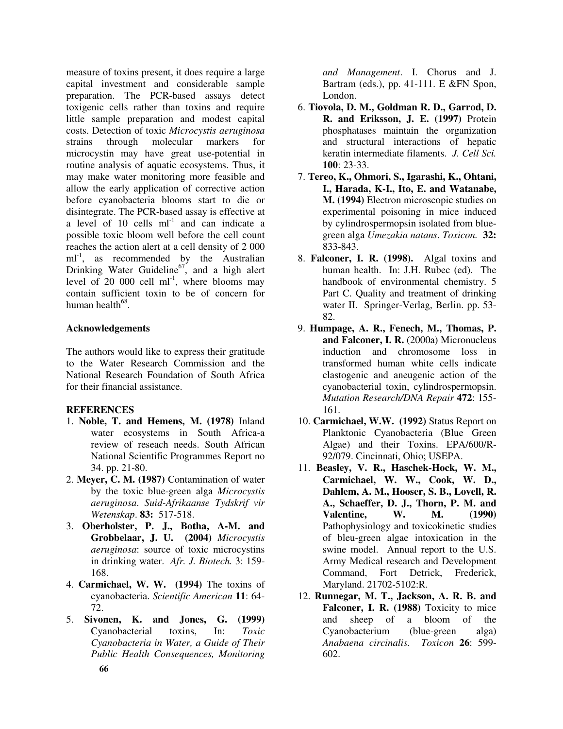measure of toxins present, it does require a large capital investment and considerable sample preparation. The PCR-based assays detect toxigenic cells rather than toxins and require little sample preparation and modest capital costs. Detection of toxic *Microcystis aeruginosa* strains through molecular markers microcystin may have great use-potential in routine analysis of aquatic ecosystems. Thus, it may make water monitoring more feasible and allow the early application of corrective action before cyanobacteria blooms start to die or disintegrate. The PCR-based assay is effective at a level of  $10$  cells  $ml^{-1}$  and can indicate a possible toxic bloom well before the cell count reaches the action alert at a cell density of 2 000 ml<sup>-1</sup>, as recommended by the Australian Drinking Water Guideline<sup>67</sup>, and a high alert level of  $20,000$  cell ml<sup>-1</sup>, where blooms may contain sufficient toxin to be of concern for human health<sup>68</sup>.

# **Acknowledgements**

The authors would like to express their gratitude to the Water Research Commission and the National Research Foundation of South Africa for their financial assistance.

# **REFERENCES**

- 1. **Noble, T. and Hemens, M. (1978)** Inland water ecosystems in South Africa-a review of reseach needs. South African National Scientific Programmes Report no 34. pp. 21-80.
- 2. **Meyer, C. M. (1987)** Contamination of water by the toxic blue-green alga *Microcystis aeruginosa*. *Suid-Afrikaanse Tydskrif vir Wetenskap*. **83:** 517-518.
- 3. **Oberholster, P. J., Botha, A-M. and Grobbelaar, J. U. (2004)** *Microcystis aeruginosa*: source of toxic microcystins in drinking water. *Afr. J. Biotech.* 3: 159- 168.
- 4. **Carmichael, W. W. (1994)** The toxins of cyanobacteria. *Scientific American* **11**: 64- 72.
- 5. **Sivonen, K. and Jones, G. (1999)** Cyanobacterial toxins, In: *Toxic Cyanobacteria in Water, a Guide of Their Public Health Consequences, Monitoring*

*and Management*. I. Chorus and J. Bartram (eds.), pp. 41-111. E &FN Spon, London.

- 6. **Tiovola, D. M., Goldman R. D., Garrod, D. R. and Eriksson, J. E. (1997)** Protein phosphatases maintain the organization and structural interactions of hepatic keratin intermediate filaments. *J. Cell Sci.* **100**: 23-33.
- 7. **Tereo, K., Ohmori, S., Igarashi, K., Ohtani, I., Harada, K-I., Ito, E. and Watanabe, M. (1994)** Electron microscopic studies on experimental poisoning in mice induced by cylindrospermopsin isolated from bluegreen alga *Umezakia natans*. *Toxicon.* **32:** 833-843.
- 8. **Falconer, I. R. (1998).** Algal toxins and human health. In: J.H. Rubec (ed). The handbook of environmental chemistry. 5 Part C. Quality and treatment of drinking water II. Springer-Verlag, Berlin. pp. 53- 82.
- 9. **Humpage, A. R., Fenech, M., Thomas, P. and Falconer, I. R.** (2000a) Micronucleus induction and chromosome loss in transformed human white cells indicate clastogenic and aneugenic action of the cyanobacterial toxin, cylindrospermopsin. *Mutation Research/DNA Repair* **472**: 155- 161.
- 10. **Carmichael, W.W. (1992)** Status Report on Planktonic Cyanobacteria (Blue Green Algae) and their Toxins. EPA/600/R-92/079. Cincinnati, Ohio; USEPA.
- 11. **Beasley, V. R., Haschek-Hock, W. M., Carmichael, W. W., Cook, W. D., Dahlem, A. M., Hooser, S. B., Lovell, R. A., Schaeffer, D. J., Thorn, P. M. and Valentine, W. M. (1990)** Pathophysiology and toxicokinetic studies of bleu-green algae intoxication in the swine model. Annual report to the U.S. Army Medical research and Development Command, Fort Detrick, Frederick, Maryland. 21702-5102:R.
- 12. **Runnegar, M. T., Jackson, A. R. B. and Falconer, I. R. (1988)** Toxicity to mice and sheep of a bloom of the Cyanobacterium (blue-green alga) *Anabaena circinalis. Toxicon* **26**: 599- 602.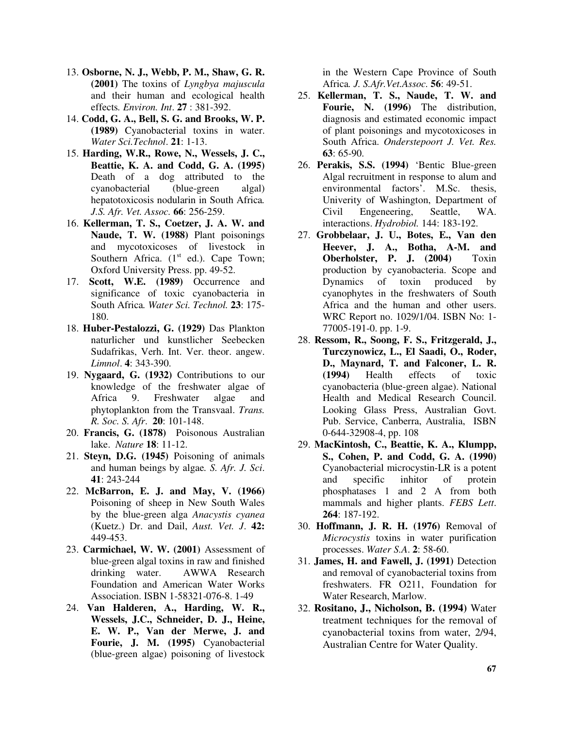- 13. **Osborne, N. J., Webb, P. M., Shaw, G. R. (2001)** The toxins of *Lyngbya majuscula* and their human and ecological health effects*. Environ. Int*. **27** : 381-392.
- 14. **Codd, G. A., Bell, S. G. and Brooks, W. P. (1989)** Cyanobacterial toxins in water. *Water Sci.Technol*. **21**: 1-13.
- 15. **Harding, W.R., Rowe, N., Wessels, J. C., Beattie, K. A. and Codd, G. A. (1995)** Death of a dog attributed to the cyanobacterial (blue-green algal) hepatotoxicosis nodularin in South Africa*. J.S. Afr. Vet. Assoc.* **66**: 256-259.
- 16. **Kellerman, T. S., Coetzer, J. A. W. and Naude, T. W. (1988)** Plant poisonings and mycotoxicoses of livestock in Southern Africa.  $(1<sup>st</sup> ed.)$ . Cape Town; Oxford University Press. pp. 49-52.
- 17. **Scott, W.E. (1989)** Occurrence and significance of toxic cyanobacteria in South Africa*. Water Sci. Technol.* **23**: 175- 180.
- 18. **Huber-Pestalozzi, G. (1929)** Das Plankton naturlicher und kunstlicher Seebecken Sudafrikas, Verh. Int. Ver. theor. angew. *Limnol*. **4**: 343-390.
- 19. **Nygaard, G. (1932)** Contributions to our knowledge of the freshwater algae of Africa 9. Freshwater algae and phytoplankton from the Transvaal. *Trans. R. Soc. S. Afr*. **20**: 101-148.
- 20. **Francis, G. (1878)** Poisonous Australian lake. *Nature* **18**: 11-12.
- 21. **Steyn, D.G. (1945)** Poisoning of animals and human beings by algae*. S. Afr. J. Sci*. **41**: 243-244
- 22. **McBarron, E. J. and May, V. (1966)** Poisoning of sheep in New South Wales by the blue-green alga *Anacystis cyanea* (Kuetz.) Dr. and Dail, *Aust. Vet. J*. **42:** 449-453.
- 23. **Carmichael, W. W. (2001)** Assessment of blue-green algal toxins in raw and finished drinking water. AWWA Research Foundation and American Water Works Association. ISBN 1-58321-076-8. 1-49
- 24. **Van Halderen, A., Harding, W. R., Wessels, J.C., Schneider, D. J., Heine, E. W. P., Van der Merwe, J. and Fourie, J. M. (1995)** Cyanobacterial (blue-green algae) poisoning of livestock

in the Western Cape Province of South Africa*. J. S.Afr.Vet.Assoc.* **56**: 49-51.

- 25. **Kellerman, T. S., Naude, T. W. and Fourie, N. (1996)** The distribution, diagnosis and estimated economic impact of plant poisonings and mycotoxicoses in South Africa. *Onderstepoort J. Vet. Res.* **63**: 65-90.
- 26. **Perakis, S.S. (1994)** 'Bentic Blue-green Algal recruitment in response to alum and environmental factors'. M.Sc. thesis, Univerity of Washington, Department of Civil Engeneering, Seattle, WA. interactions. *Hydrobiol.* 144: 183-192.
- 27. **Grobbelaar, J. U., Botes, E., Van den Heever, J. A., Botha, A-M. and Oberholster, P. J. (2004)** Toxin production by cyanobacteria. Scope and Dynamics of toxin produced by cyanophytes in the freshwaters of South Africa and the human and other users. WRC Report no. 1029/1/04. ISBN No: 1- 77005-191-0. pp. 1-9.
- 28. **Ressom, R., Soong, F. S., Fritzgerald, J., Turczynowicz, L., El Saadi, O., Roder, D., Maynard, T. and Falconer, L. R.** effects of toxic cyanobacteria (blue-green algae). National Health and Medical Research Council. Looking Glass Press, Australian Govt. Pub. Service, Canberra, Australia, ISBN 0-644-32908-4, pp. 108
- 29. **MacKintosh, C., Beattie, K. A., Klumpp, S., Cohen, P. and Codd, G. A. (1990)** Cyanobacterial microcystin-LR is a potent and specific inhitor of protein phosphatases 1 and 2 A from both mammals and higher plants. *FEBS Lett*. **264**: 187-192.
- 30. **Hoffmann, J. R. H. (1976)** Removal of *Microcystis* toxins in water purification processes. *Water S.A*. **2**: 58-60.
- 31. **James, H. and Fawell, J. (1991)** Detection and removal of cyanobacterial toxins from freshwaters. FR O211, Foundation for Water Research, Marlow.
- 32. **Rositano, J., Nicholson, B. (1994)** Water treatment techniques for the removal of cyanobacterial toxins from water, 2/94, Australian Centre for Water Quality.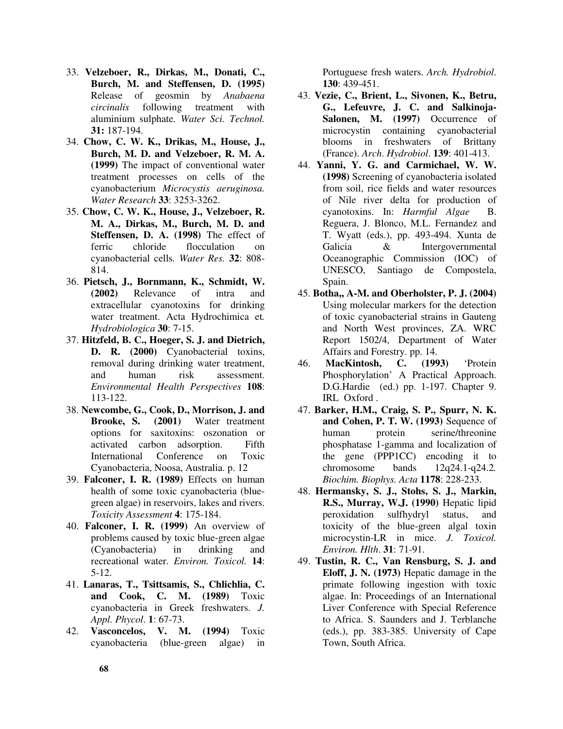- 33. **Velzeboer, R., Dirkas, M., Donati, C., Burch, M. and Steffensen, D. (1995)** Release of geosmin by *Anabaena circinalis* following treatment with aluminium sulphate*. Water Sci. Technol.* **31:** 187-194.
- 34. **Chow, C. W. K., Drikas, M., House, J., Burch, M. D. and Velzeboer, R. M. A. (1999)** The impact of conventional water treatment processes on cells of the cyanobacterium *Microcystis aeruginosa. Water Research* **33**: 3253-3262.
- 35. **Chow, C. W. K., House, J., Velzeboer, R. M. A., Dirkas, M., Burch, M. D. and Steffensen, D. A. (1998)** The effect of ferric chloride flocculation on cyanobacterial cells*. Water Res.* **32**: 808- 814.
- 36. **Pietsch, J., Bornmann, K., Schmidt, W. (2002)** Relevance of intra and extracellular cyanotoxins for drinking water treatment. Acta Hydrochimica et*. Hydrobiologica* **30**: 7-15.
- 37. **Hitzfeld, B. C., Hoeger, S. J. and Dietrich, D. R. (2000)** Cyanobacterial toxins, removal during drinking water treatment, and human risk assessment. *Environmental Health Perspectives* **108**: 113-122.
- 38. **Newcombe, G., Cook, D., Morrison, J. and Brooke, S. (2001)** Water treatment options for saxitoxins: oszonation or activated carbon adsorption. Fifth International Conference on Toxic Cyanobacteria, Noosa, Australia. p. 12
- 39. **Falconer, I. R. (1989)** Effects on human health of some toxic cyanobacteria (bluegreen algae) in reservoirs, lakes and rivers. *Toxicity Assessment* **4**: 175-184.
- 40. **Falconer, I. R. (1999)** An overview of problems caused by toxic blue-green algae (Cyanobacteria) in drinking and recreational water. *Environ. Toxicol.* **14**: 5-12.
- 41. **Lanaras, T., Tsittsamis, S., Chlichlia, C. and Cook, C. M. (1989)** Toxic cyanobacteria in Greek freshwaters. *J. Appl. Phycol*. **1**: 67-73.
- 42. **Vasconcelos, V. M. (1994)** Toxic cyanobacteria (blue-green algae) in

Portuguese fresh waters. *Arch. Hydrobiol*. **130**: 439-451.

- 43. **Vezie, C., Brient, L., Sivonen, K., Betru, G., Lefeuvre, J. C. and Salkinoja-Salonen, M. (1997)** Occurrence of microcystin containing cyanobacterial blooms in freshwaters of Brittany (France). *Arch*. *Hydrobiol*. **139**: 401-413.
- 44. **Yanni, Y. G. and Carmichael, W. W. (1998)** Screening of cyanobacteria isolated from soil, rice fields and water resources of Nile river delta for production of cyanotoxins. In: *Harmful Algae* B. Reguera, J. Blonco, M.L. Fernandez and T. Wyatt (eds.), pp. 493-494. Xunta de Galicia & Intergovernmental Oceanographic Commission (IOC) of UNESCO, Santiago de Compostela, Spain.
- 45. **Botha,, A-M. and Oberholster, P. J. (2004)** Using molecular markers for the detection of toxic cyanobacterial strains in Gauteng and North West provinces, ZA. WRC Report 1502/4, Department of Water Affairs and Forestry. pp. 14.
- 46. **MacKintosh, C. (1993)** 'Protein Phosphorylation' A Practical Approach. D.G.Hardie (ed.) pp. 1-197. Chapter 9. IRL Oxford .
- 47. **Barker, H.M., Craig, S. P., Spurr, N. K. and Cohen, P. T. W. (1993)** Sequence of human protein serine/threonine phosphatase 1-gamma and localization of the gene (PPP1CC) encoding it to chromosome bands 12q24.1-q24.2*. Biochim. Biophys. Acta* **1178**: 228-233.
- 48. **Hermansky, S. J., Stohs, S. J., Markin, R.S., Murray, W.J. (1990)** Hepatic lipid peroxidation sulfhydryl status, and toxicity of the blue-green algal toxin microcystin-LR in mice. *J. Toxicol. Environ. Hlth*. **31**: 71-91.
- 49. **Tustin, R. C., Van Rensburg, S. J. and Eloff, J. N. (1973)** Hepatic damage in the primate following ingestion with toxic algae. In: Proceedings of an International Liver Conference with Special Reference to Africa. S. Saunders and J. Terblanche (eds.), pp. 383-385. University of Cape Town, South Africa.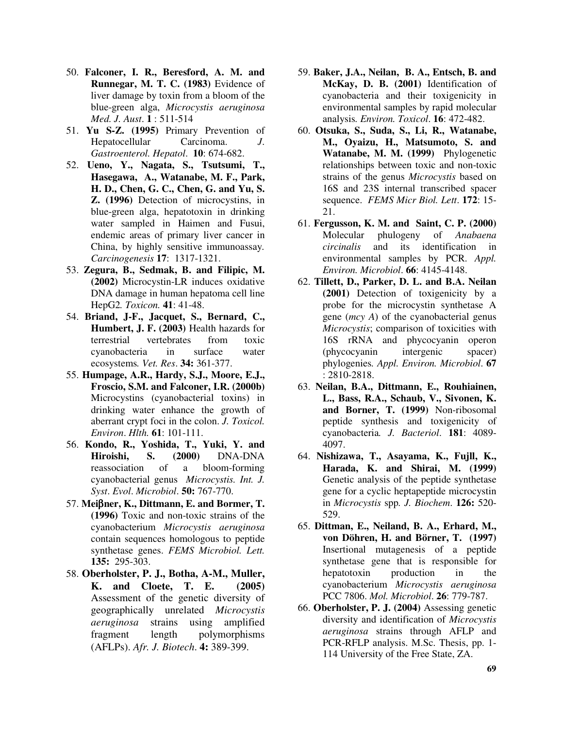- 50. **Falconer, I. R., Beresford, A. M. and Runnegar, M. T. C. (1983)** Evidence of liver damage by toxin from a bloom of the blue-green alga, *Microcystis aeruginosa Med. J. Aust*. **1** : 511-514
- 51. **Yu S-Z. (1995)** Primary Prevention of Hepatocellular Carcinoma. *J*. *Gastroenterol. Hepatol*. **10**: 674-682.
- 52. **Ueno, Y., Nagata, S., Tsutsumi, T., Hasegawa, A., Watanabe, M. F., Park, H. D., Chen, G. C., Chen, G. and Yu, S. Z. (1996)** Detection of microcystins, in blue-green alga, hepatotoxin in drinking water sampled in Haimen and Fusui, endemic areas of primary liver cancer in China, by highly sensitive immunoassay*. Carcinogenesis* **17**: 1317-1321.
- 53. **Zegura, B., Sedmak, B. and Filipic, M. (2002)** Microcystin-LR induces oxidative DNA damage in human hepatoma cell line HepG2*. Toxicon.* **41**: 41-48.
- 54. **Briand, J-F., Jacquet, S., Bernard, C., Humbert, J. F. (2003)** Health hazards for terrestrial vertebrates from toxic cyanobacteria in surface water ecosystems*. Vet. Res*. **34:** 361-377.
- 55. **Humpage, A.R., Hardy, S.J., Moore, E.J., Froscio, S.M. and Falconer, I.R. (2000b)** Microcystins (cyanobacterial toxins) in drinking water enhance the growth of aberrant crypt foci in the colon. *J. Toxicol. Environ*. *Hlth.* **61**: 101-111.
- 56. **Kondo, R., Yoshida, T., Yuki, Y. and Hiroishi, S. (2000)** DNA-DNA reassociation of a bloom-forming cyanobacterial genus *Microcystis. Int. J. Syst*. *Evol*. *Microbiol*. **50:** 767-770.
- 57. **Mei**β**ner, K., Dittmann, E. and Bormer, T. (1996)** Toxic and non-toxic strains of the cyanobacterium *Microcystis aeruginosa* contain sequences homologous to peptide synthetase genes. *FEMS Microbiol. Lett.* **135:** 295-303.
- 58. **Oberholster, P. J., Botha, A-M., Muller, K. and Cloete, T. E. (2005)** Assessment of the genetic diversity of geographically unrelated *Microcystis aeruginosa* strains using amplified fragment length polymorphisms (AFLPs). *Afr. J. Biotech*. **4:** 389-399.
- 59. **Baker, J.A., Neilan, B. A., Entsch, B. and McKay, D. B. (2001)** Identification of cyanobacteria and their toxigenicity in environmental samples by rapid molecular analysis*. Environ. Toxicol*. **16**: 472-482.
- 60. **Otsuka, S., Suda, S., Li, R., Watanabe, M., Oyaizu, H., Matsumoto, S. and Watanabe, M. M. (1999)** Phylogenetic relationships between toxic and non-toxic strains of the genus *Microcystis* based on 16S and 23S internal transcribed spacer sequence. *FEMS Micr Biol. Lett*. **172**: 15- 21.
- 61. **Fergusson, K. M. and Saint, C. P. (2000)** Molecular phulogeny of *Anabaena circinalis* and its identification in environmental samples by PCR. *Appl. Environ. Microbiol*. **66**: 4145-4148.
- 62. **Tillett, D., Parker, D. L. and B.A. Neilan (2001)** Detection of toxigenicity by a probe for the microcystin synthetase A gene (*mcy A*) of the cyanobacterial genus *Microcystis*; comparison of toxicities with 16S rRNA and phycocyanin operon (phycocyanin intergenic spacer) phylogenies*. Appl. Environ. Microbiol*. **67** : 2810-2818.
- 63. **Neilan, B.A., Dittmann, E., Rouhiainen, L., Bass, R.A., Schaub, V., Sivonen, K. and Borner, T. (1999)** Non-ribosomal peptide synthesis and toxigenicity of cyanobacteria*. J. Bacteriol*. **181**: 4089- 4097.
- 64. **Nishizawa, T., Asayama, K., Fujll, K., Harada, K. and Shirai, M. (1999)** Genetic analysis of the peptide synthetase gene for a cyclic heptapeptide microcystin in *Microcystis* spp*. J. Biochem*. **126:** 520- 529.
- 65. **Dittman, E., Neiland, B. A., Erhard, M., von Döhren, H. and Börner, T. (1997)** Insertional mutagenesis of a peptide synthetase gene that is responsible for hepatotoxin production in the cyanobacterium *Microcystis aeruginosa* PCC 7806. *Mol. Microbiol*. **26**: 779-787.
- 66. **Oberholster, P. J. (2004)** Assessing genetic diversity and identification of *Microcystis aeruginosa* strains through AFLP and PCR-RFLP analysis. M.Sc. Thesis, pp. 1- 114 University of the Free State, ZA.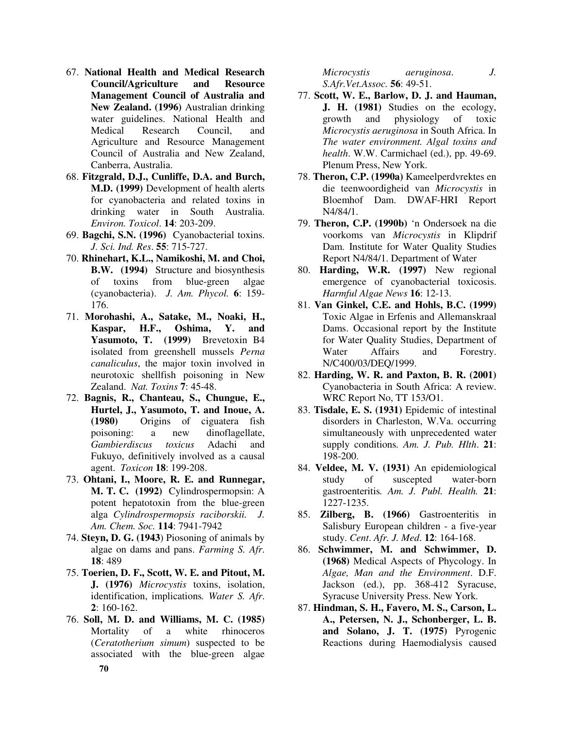- 67. **National Health and Medical Research Council/Agriculture and Resource Management Council of Australia and New Zealand. (1996)** Australian drinking water guidelines. National Health and Medical Research Council, and Agriculture and Resource Management Council of Australia and New Zealand, Canberra, Australia.
- 68. **Fitzgrald, D.J., Cunliffe, D.A. and Burch, M.D. (1999)** Development of health alerts for cyanobacteria and related toxins in drinking water in South Australia. *Environ. Toxicol*. **14**: 203-209.
- 69. **Bagchi, S.N. (1996)** Cyanobacterial toxins. *J. Sci. Ind. Res*. **55**: 715-727.
- 70. **Rhinehart, K.L., Namikoshi, M. and Choi, B.W. (1994)** Structure and biosynthesis of toxins from blue-green algae (cyanobacteria). *J. Am. Phycol.* **6**: 159- 176.
- 71. **Morohashi, A., Satake, M., Noaki, H., Kaspar, H.F., Oshima, Y. and Yasumoto, T. (1999)** Brevetoxin B4 isolated from greenshell mussels *Perna canaliculus*, the major toxin involved in neurotoxic shellfish poisoning in New Zealand. *Nat. Toxins* **7**: 45-48.
- 72. **Bagnis, R., Chanteau, S., Chungue, E., Hurtel, J., Yasumoto, T. and Inoue, A. (1980)** Origins of ciguatera fish poisoning: a new dinoflagellate, *Gambierdiscus toxicus* Adachi and Fukuyo, definitively involved as a causal agent. *Toxicon* **18**: 199-208.
- 73. **Ohtani, I., Moore, R. E. and Runnegar, M. T. C. (1992)** Cylindrospermopsin: A potent hepatotoxin from the blue-green alga *Cylindrospermopsis raciborskii. J. Am. Chem. Soc.* **114**: 7941-7942
- 74. **Steyn, D. G. (1943**) Piosoning of animals by algae on dams and pans. *Farming S. Afr*. **18**: 489
- 75. **Toerien, D. F., Scott, W. E. and Pitout, M. J. (1976)** *Microcystis* toxins, isolation, identification, implications*. Water S. Afr*. **2**: 160-162.
- 76. **Soll, M. D. and Williams, M. C. (1985)** Mortality of a white rhinoceros (*Ceratotherium simum*) suspected to be associated with the blue-green algae

*Microcystis aeruginosa*. *J. S.Afr.Vet.Assoc.* **56**: 49-51.

- 77. **Scott, W. E., Barlow, D. J. and Hauman, J. H. (1981)** Studies on the ecology, growth and physiology of toxic *Microcystis aeruginosa* in South Africa. In *The water environment. Algal toxins and health*. W.W. Carmichael (ed.), pp. 49-69. Plenum Press, New York.
- 78. **Theron, C.P. (1990a)** Kameelperdvrektes en die teenwoordigheid van *Microcystis* in Bloemhof Dam. DWAF-HRI Report N4/84/1.
- 79. **Theron, C.P. (1990b)** 'n Ondersoek na die voorkoms van *Microcystis* in Klipdrif Dam. Institute for Water Quality Studies Report N4/84/1. Department of Water
- 80. **Harding, W.R. (1997)** New regional emergence of cyanobacterial toxicosis. *Harmful Algae News* **16**: 12-13.
- 81. **Van Ginkel, C.E. and Hohls, B.C. (1999)** Toxic Algae in Erfenis and Allemanskraal Dams. Occasional report by the Institute for Water Quality Studies, Department of Water Affairs and Forestry. N/C400/03/DEQ/1999.
- 82. **Harding, W. R. and Paxton, B. R. (2001)** Cyanobacteria in South Africa: A review. WRC Report No, TT 153/O1.
- 83. **Tisdale, E. S. (1931)** Epidemic of intestinal disorders in Charleston, W.Va. occurring simultaneously with unprecedented water supply conditions*. Am. J. Pub. Hlth*. **21**: 198-200.
- 84. **Veldee, M. V. (1931)** An epidemiological study of suscepted water-born gastroenteritis*. Am. J. Publ. Health.* **21**: 1227-1235.
- 85. **Zilberg, B. (1966)** Gastroenteritis in Salisbury European children - a five-year study. *Cent*. *Afr. J. Med*. **12**: 164-168.
- 86. **Schwimmer, M. and Schwimmer, D. (1968)** Medical Aspects of Phycology. In *Algae, Man and the Environment*. D.F. Jackson (ed.), pp. 368-412 Syracuse, Syracuse University Press. New York.
- 87. **Hindman, S. H., Favero, M. S., Carson, L. A., Petersen, N. J., Schonberger, L. B. and Solano, J. T. (1975)** Pyrogenic Reactions during Haemodialysis caused

**70**